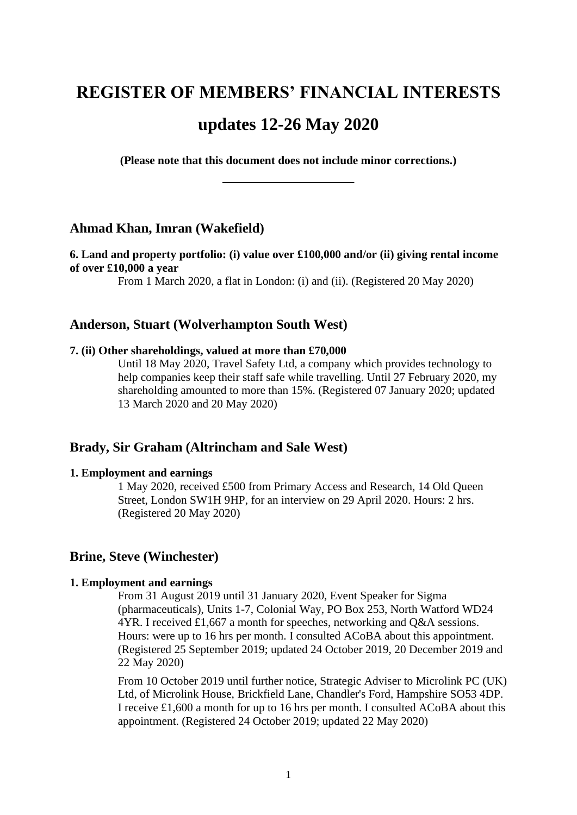# **REGISTER OF MEMBERS' FINANCIAL INTERESTS updates 12-26 May 2020**

**(Please note that this document does not include minor corrections.) \_\_\_\_\_\_\_\_\_\_\_\_\_\_\_\_\_**

# **Ahmad Khan, Imran (Wakefield)**

## **6. Land and property portfolio: (i) value over £100,000 and/or (ii) giving rental income of over £10,000 a year**

From 1 March 2020, a flat in London: (i) and (ii). (Registered 20 May 2020)

# **Anderson, Stuart (Wolverhampton South West)**

#### **7. (ii) Other shareholdings, valued at more than £70,000**

Until 18 May 2020, Travel Safety Ltd, a company which provides technology to help companies keep their staff safe while travelling. Until 27 February 2020, my shareholding amounted to more than 15%. (Registered 07 January 2020; updated 13 March 2020 and 20 May 2020)

## **Brady, Sir Graham (Altrincham and Sale West)**

#### **1. Employment and earnings**

1 May 2020, received £500 from Primary Access and Research, 14 Old Queen Street, London SW1H 9HP, for an interview on 29 April 2020. Hours: 2 hrs. (Registered 20 May 2020)

# **Brine, Steve (Winchester)**

#### **1. Employment and earnings**

From 31 August 2019 until 31 January 2020, Event Speaker for Sigma (pharmaceuticals), Units 1-7, Colonial Way, PO Box 253, North Watford WD24 4YR. I received £1,667 a month for speeches, networking and Q&A sessions. Hours: were up to 16 hrs per month. I consulted ACoBA about this appointment. (Registered 25 September 2019; updated 24 October 2019, 20 December 2019 and 22 May 2020)

From 10 October 2019 until further notice, Strategic Adviser to Microlink PC (UK) Ltd, of Microlink House, Brickfield Lane, Chandler's Ford, Hampshire SO53 4DP. I receive £1,600 a month for up to 16 hrs per month. I consulted ACoBA about this appointment. (Registered 24 October 2019; updated 22 May 2020)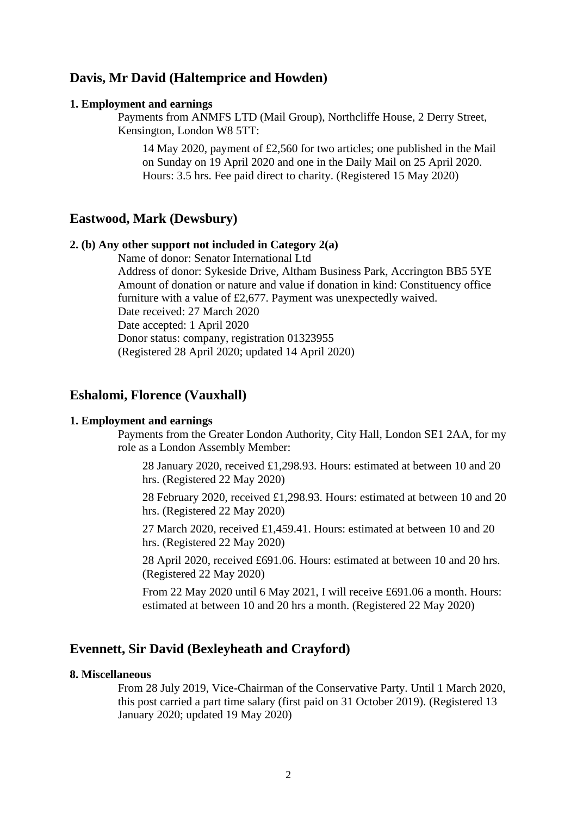# **Davis, Mr David (Haltemprice and Howden)**

#### **1. Employment and earnings**

Payments from ANMFS LTD (Mail Group), Northcliffe House, 2 Derry Street, Kensington, London W8 5TT:

14 May 2020, payment of £2,560 for two articles; one published in the Mail on Sunday on 19 April 2020 and one in the Daily Mail on 25 April 2020. Hours: 3.5 hrs. Fee paid direct to charity. (Registered 15 May 2020)

## **Eastwood, Mark (Dewsbury)**

## **2. (b) Any other support not included in Category 2(a)**

Name of donor: Senator International Ltd Address of donor: Sykeside Drive, Altham Business Park, Accrington BB5 5YE Amount of donation or nature and value if donation in kind: Constituency office furniture with a value of £2,677. Payment was unexpectedly waived. Date received: 27 March 2020 Date accepted: 1 April 2020 Donor status: company, registration 01323955

(Registered 28 April 2020; updated 14 April 2020)

## **Eshalomi, Florence (Vauxhall)**

#### **1. Employment and earnings**

Payments from the Greater London Authority, City Hall, London SE1 2AA, for my role as a London Assembly Member:

28 January 2020, received £1,298.93. Hours: estimated at between 10 and 20 hrs. (Registered 22 May 2020)

28 February 2020, received £1,298.93. Hours: estimated at between 10 and 20 hrs. (Registered 22 May 2020)

27 March 2020, received £1,459.41. Hours: estimated at between 10 and 20 hrs. (Registered 22 May 2020)

28 April 2020, received £691.06. Hours: estimated at between 10 and 20 hrs. (Registered 22 May 2020)

From 22 May 2020 until 6 May 2021, I will receive £691.06 a month. Hours: estimated at between 10 and 20 hrs a month. (Registered 22 May 2020)

## **Evennett, Sir David (Bexleyheath and Crayford)**

## **8. Miscellaneous**

From 28 July 2019, Vice-Chairman of the Conservative Party. Until 1 March 2020, this post carried a part time salary (first paid on 31 October 2019). (Registered 13 January 2020; updated 19 May 2020)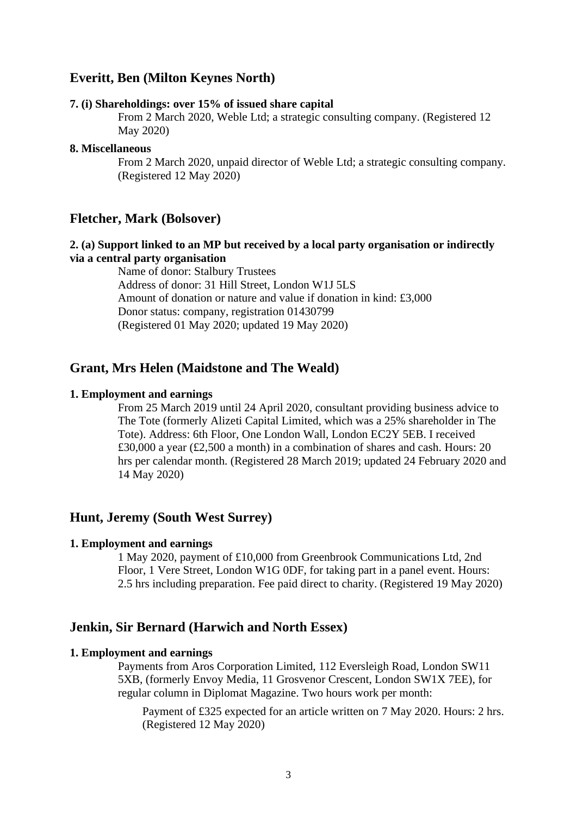# **Everitt, Ben (Milton Keynes North)**

#### **7. (i) Shareholdings: over 15% of issued share capital**

From 2 March 2020, Weble Ltd; a strategic consulting company. (Registered 12 May 2020)

## **8. Miscellaneous**

From 2 March 2020, unpaid director of Weble Ltd; a strategic consulting company. (Registered 12 May 2020)

# **Fletcher, Mark (Bolsover)**

## **2. (a) Support linked to an MP but received by a local party organisation or indirectly via a central party organisation**

Name of donor: Stalbury Trustees Address of donor: 31 Hill Street, London W1J 5LS Amount of donation or nature and value if donation in kind: £3,000 Donor status: company, registration 01430799 (Registered 01 May 2020; updated 19 May 2020)

## **Grant, Mrs Helen (Maidstone and The Weald)**

#### **1. Employment and earnings**

From 25 March 2019 until 24 April 2020, consultant providing business advice to The Tote (formerly Alizeti Capital Limited, which was a 25% shareholder in The Tote). Address: 6th Floor, One London Wall, London EC2Y 5EB. I received £30,000 a year (£2,500 a month) in a combination of shares and cash. Hours: 20 hrs per calendar month. (Registered 28 March 2019; updated 24 February 2020 and 14 May 2020)

# **Hunt, Jeremy (South West Surrey)**

#### **1. Employment and earnings**

1 May 2020, payment of £10,000 from Greenbrook Communications Ltd, 2nd Floor, 1 Vere Street, London W1G 0DF, for taking part in a panel event. Hours: 2.5 hrs including preparation. Fee paid direct to charity. (Registered 19 May 2020)

## **Jenkin, Sir Bernard (Harwich and North Essex)**

#### **1. Employment and earnings**

Payments from Aros Corporation Limited, 112 Eversleigh Road, London SW11 5XB, (formerly Envoy Media, 11 Grosvenor Crescent, London SW1X 7EE), for regular column in Diplomat Magazine. Two hours work per month:

Payment of £325 expected for an article written on 7 May 2020. Hours: 2 hrs. (Registered 12 May 2020)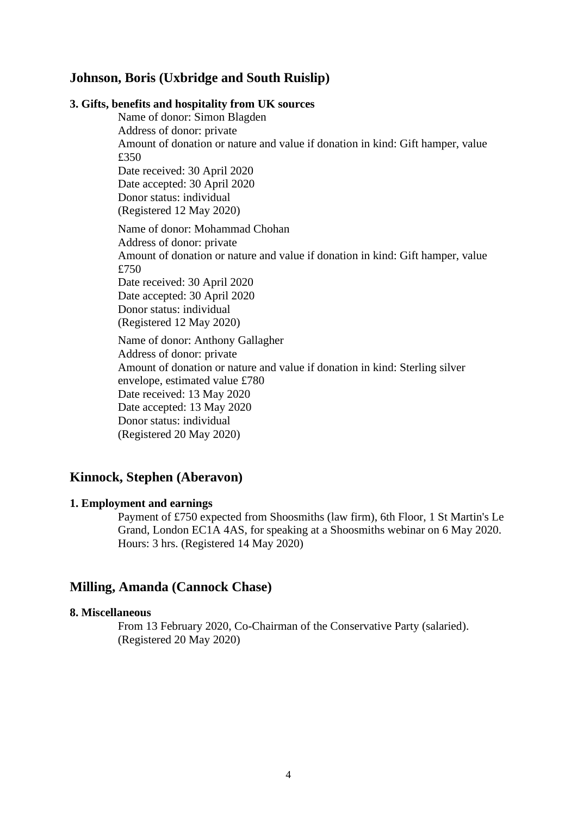# **Johnson, Boris (Uxbridge and South Ruislip)**

#### **3. Gifts, benefits and hospitality from UK sources**

Name of donor: Simon Blagden Address of donor: private Amount of donation or nature and value if donation in kind: Gift hamper, value £350 Date received: 30 April 2020 Date accepted: 30 April 2020 Donor status: individual (Registered 12 May 2020) Name of donor: Mohammad Chohan Address of donor: private Amount of donation or nature and value if donation in kind: Gift hamper, value £750 Date received: 30 April 2020 Date accepted: 30 April 2020 Donor status: individual (Registered 12 May 2020) Name of donor: Anthony Gallagher Address of donor: private Amount of donation or nature and value if donation in kind: Sterling silver envelope, estimated value £780

Date received: 13 May 2020

Date accepted: 13 May 2020 Donor status: individual

(Registered 20 May 2020)

# **Kinnock, Stephen (Aberavon)**

## **1. Employment and earnings**

Payment of £750 expected from Shoosmiths (law firm), 6th Floor, 1 St Martin's Le Grand, London EC1A 4AS, for speaking at a Shoosmiths webinar on 6 May 2020. Hours: 3 hrs. (Registered 14 May 2020)

# **Milling, Amanda (Cannock Chase)**

## **8. Miscellaneous**

From 13 February 2020, Co-Chairman of the Conservative Party (salaried). (Registered 20 May 2020)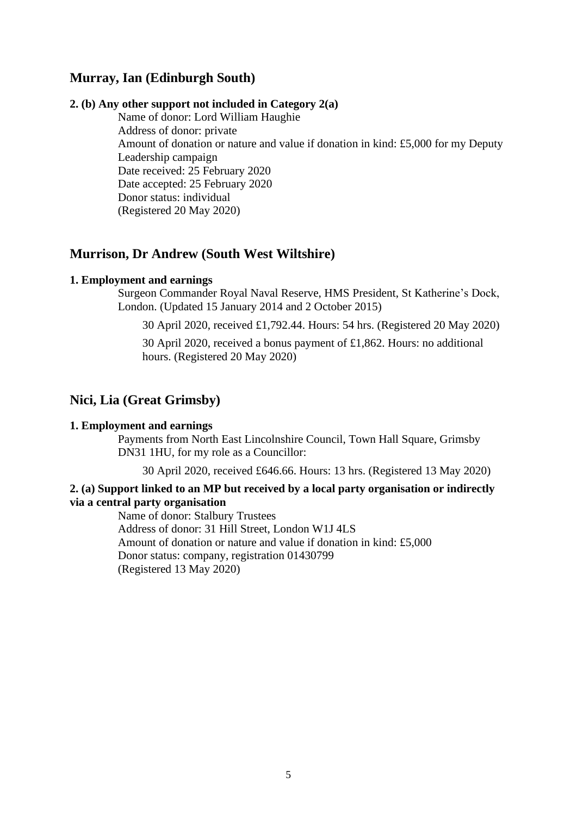# **Murray, Ian (Edinburgh South)**

## **2. (b) Any other support not included in Category 2(a)**

Name of donor: Lord William Haughie Address of donor: private Amount of donation or nature and value if donation in kind: £5,000 for my Deputy Leadership campaign Date received: 25 February 2020 Date accepted: 25 February 2020 Donor status: individual (Registered 20 May 2020)

# **Murrison, Dr Andrew (South West Wiltshire)**

## **1. Employment and earnings**

Surgeon Commander Royal Naval Reserve, HMS President, St Katherine's Dock, London. (Updated 15 January 2014 and 2 October 2015)

30 April 2020, received £1,792.44. Hours: 54 hrs. (Registered 20 May 2020)

30 April 2020, received a bonus payment of £1,862. Hours: no additional hours. (Registered 20 May 2020)

# **Nici, Lia (Great Grimsby)**

## **1. Employment and earnings**

Payments from North East Lincolnshire Council, Town Hall Square, Grimsby DN31 1HU, for my role as a Councillor:

30 April 2020, received £646.66. Hours: 13 hrs. (Registered 13 May 2020)

## **2. (a) Support linked to an MP but received by a local party organisation or indirectly via a central party organisation**

Name of donor: Stalbury Trustees Address of donor: 31 Hill Street, London W1J 4LS Amount of donation or nature and value if donation in kind: £5,000 Donor status: company, registration 01430799 (Registered 13 May 2020)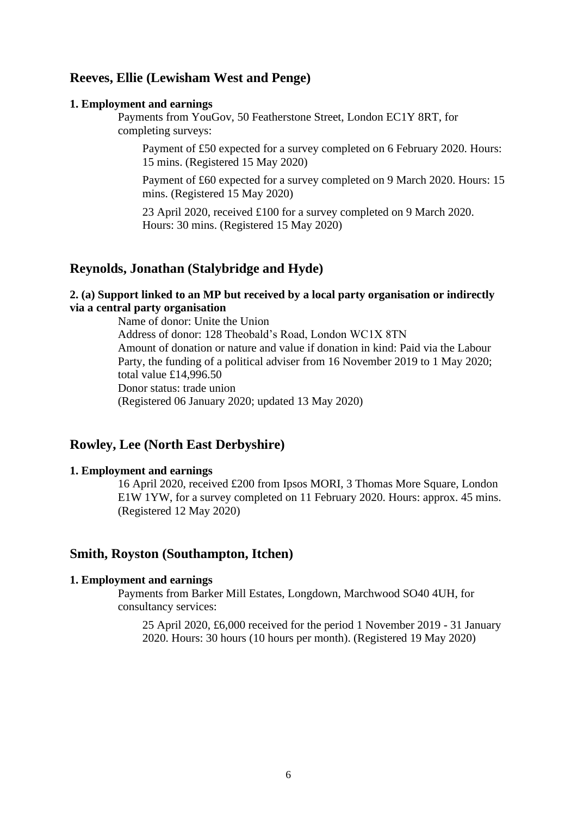# **Reeves, Ellie (Lewisham West and Penge)**

#### **1. Employment and earnings**

Payments from YouGov, 50 Featherstone Street, London EC1Y 8RT, for completing surveys:

Payment of £50 expected for a survey completed on 6 February 2020. Hours: 15 mins. (Registered 15 May 2020)

Payment of £60 expected for a survey completed on 9 March 2020. Hours: 15 mins. (Registered 15 May 2020)

23 April 2020, received £100 for a survey completed on 9 March 2020. Hours: 30 mins. (Registered 15 May 2020)

## **Reynolds, Jonathan (Stalybridge and Hyde)**

# **2. (a) Support linked to an MP but received by a local party organisation or indirectly via a central party organisation**

Name of donor: Unite the Union Address of donor: 128 Theobald's Road, London WC1X 8TN Amount of donation or nature and value if donation in kind: Paid via the Labour Party, the funding of a political adviser from 16 November 2019 to 1 May 2020; total value £14,996.50 Donor status: trade union (Registered 06 January 2020; updated 13 May 2020)

# **Rowley, Lee (North East Derbyshire)**

# **1. Employment and earnings**

16 April 2020, received £200 from Ipsos MORI, 3 Thomas More Square, London E1W 1YW, for a survey completed on 11 February 2020. Hours: approx. 45 mins. (Registered 12 May 2020)

## **Smith, Royston (Southampton, Itchen)**

### **1. Employment and earnings**

Payments from Barker Mill Estates, Longdown, Marchwood SO40 4UH, for consultancy services:

25 April 2020, £6,000 received for the period 1 November 2019 - 31 January 2020. Hours: 30 hours (10 hours per month). (Registered 19 May 2020)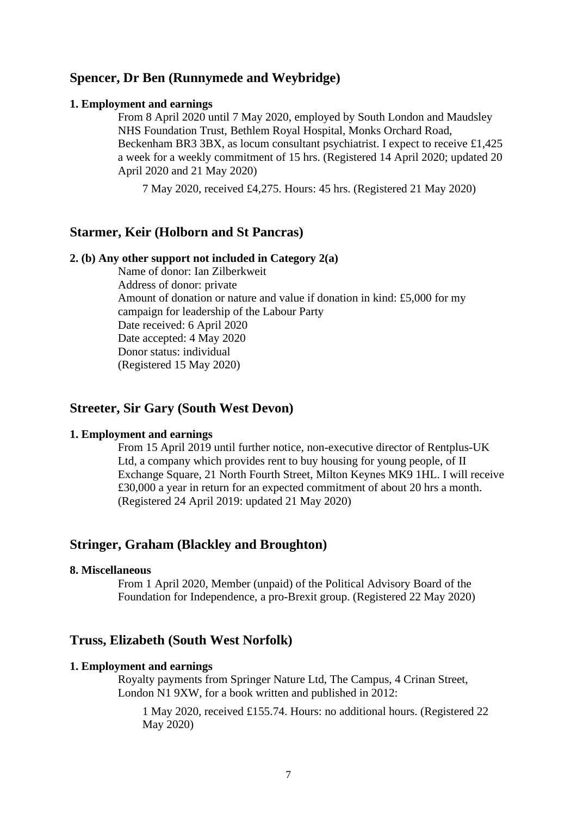# **Spencer, Dr Ben (Runnymede and Weybridge)**

#### **1. Employment and earnings**

From 8 April 2020 until 7 May 2020, employed by South London and Maudsley NHS Foundation Trust, Bethlem Royal Hospital, Monks Orchard Road, Beckenham BR3 3BX, as locum consultant psychiatrist. I expect to receive £1,425 a week for a weekly commitment of 15 hrs. (Registered 14 April 2020; updated 20 April 2020 and 21 May 2020)

7 May 2020, received £4,275. Hours: 45 hrs. (Registered 21 May 2020)

# **Starmer, Keir (Holborn and St Pancras)**

#### **2. (b) Any other support not included in Category 2(a)**

Name of donor: Ian Zilberkweit Address of donor: private Amount of donation or nature and value if donation in kind: £5,000 for my campaign for leadership of the Labour Party Date received: 6 April 2020 Date accepted: 4 May 2020 Donor status: individual (Registered 15 May 2020)

## **Streeter, Sir Gary (South West Devon)**

#### **1. Employment and earnings**

From 15 April 2019 until further notice, non-executive director of Rentplus-UK Ltd, a company which provides rent to buy housing for young people, of II Exchange Square, 21 North Fourth Street, Milton Keynes MK9 1HL. I will receive £30,000 a year in return for an expected commitment of about 20 hrs a month. (Registered 24 April 2019: updated 21 May 2020)

## **Stringer, Graham (Blackley and Broughton)**

#### **8. Miscellaneous**

From 1 April 2020, Member (unpaid) of the Political Advisory Board of the Foundation for Independence, a pro-Brexit group. (Registered 22 May 2020)

#### **Truss, Elizabeth (South West Norfolk)**

#### **1. Employment and earnings**

Royalty payments from Springer Nature Ltd, The Campus, 4 Crinan Street, London N1 9XW, for a book written and published in 2012:

1 May 2020, received £155.74. Hours: no additional hours. (Registered 22 May 2020)